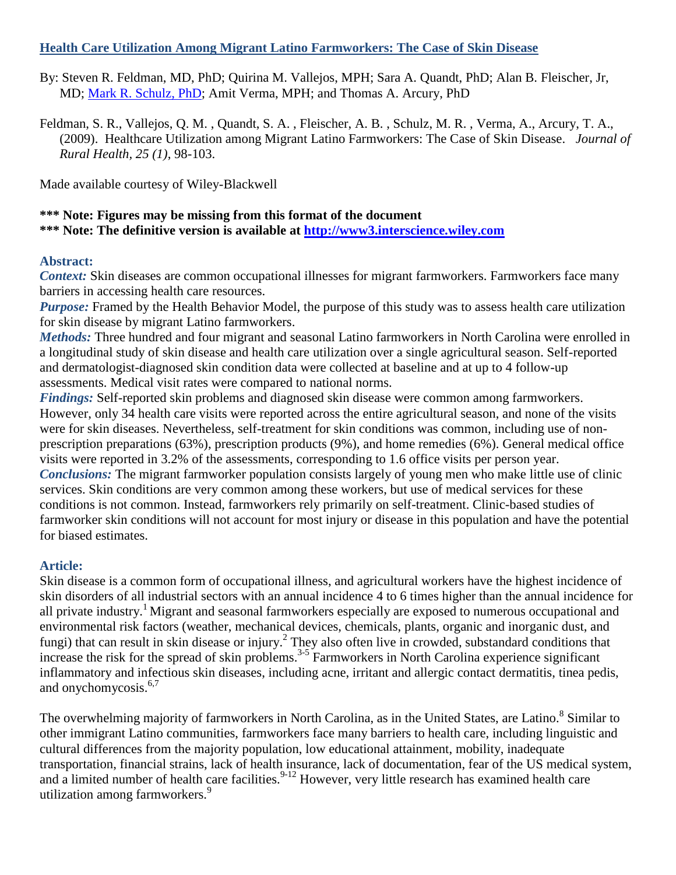### **Health Care Utilization Among Migrant Latino Farmworkers: The Case of Skin Disease**

By: Steven R. Feldman, MD, PhD; Quirina M. Vallejos, MPH; Sara A. Quandt, PhD; Alan B. Fleischer, Jr, MD; [Mark R. Schulz, PhD;](http://libres.uncg.edu/ir/uncg/clist.aspx?id=1579) Amit Verma, MPH; and Thomas A. Arcury, PhD

Feldman, S. R., Vallejos, Q. M. , Quandt, S. A. , Fleischer, A. B. , Schulz, M. R. , Verma, A., Arcury, T. A., (2009). Healthcare Utilization among Migrant Latino Farmworkers: The Case of Skin Disease. *Journal of Rural Health, 25 (1)*, 98-103.

Made available courtesy of Wiley-Blackwell

### **\*\*\* Note: Figures may be missing from this format of the document \*\*\* Note: The definitive version is available at [http://www3.interscience.wiley.com](http://www3.interscience.wiley.com/)**

#### **Abstract:**

*Context:* Skin diseases are common occupational illnesses for migrant farmworkers. Farmworkers face many barriers in accessing health care resources.

*Purpose:* Framed by the Health Behavior Model, the purpose of this study was to assess health care utilization for skin disease by migrant Latino farmworkers.

*Methods:* Three hundred and four migrant and seasonal Latino farmworkers in North Carolina were enrolled in a longitudinal study of skin disease and health care utilization over a single agricultural season. Self-reported and dermatologist-diagnosed skin condition data were collected at baseline and at up to 4 follow-up assessments. Medical visit rates were compared to national norms.

*Findings:* Self-reported skin problems and diagnosed skin disease were common among farmworkers. However, only 34 health care visits were reported across the entire agricultural season, and none of the visits were for skin diseases. Nevertheless, self-treatment for skin conditions was common, including use of nonprescription preparations (63%), prescription products (9%), and home remedies (6%). General medical office visits were reported in 3.2% of the assessments, corresponding to 1.6 office visits per person year. *Conclusions:* The migrant farmworker population consists largely of young men who make little use of clinic services. Skin conditions are very common among these workers, but use of medical services for these conditions is not common. Instead, farmworkers rely primarily on self-treatment. Clinic-based studies of farmworker skin conditions will not account for most injury or disease in this population and have the potential for biased estimates.

#### **Article:**

Skin disease is a common form of occupational illness, and agricultural workers have the highest incidence of skin disorders of all industrial sectors with an annual incidence 4 to 6 times higher than the annual incidence for all private industry.<sup>1</sup> Migrant and seasonal farmworkers especially are exposed to numerous occupational and environmental risk factors (weather, mechanical devices, chemicals, plants, organic and inorganic dust, and fungi) that can result in skin disease or injury.<sup>2</sup> They also often live in crowded, substandard conditions that increase the risk for the spread of skin problems.<sup>3-5</sup> Farmworkers in North Carolina experience significant inflammatory and infectious skin diseases, including acne, irritant and allergic contact dermatitis, tinea pedis, and onychomycosis.<sup>6,7</sup>

The overwhelming majority of farmworkers in North Carolina, as in the United States, are Latino.<sup>8</sup> Similar to other immigrant Latino communities, farmworkers face many barriers to health care, including linguistic and cultural differences from the majority population, low educational attainment, mobility, inadequate transportation, financial strains, lack of health insurance, lack of documentation, fear of the US medical system, and a limited number of health care facilities.<sup>9-12</sup> However, very little research has examined health care utilization among farmworkers.<sup>9</sup>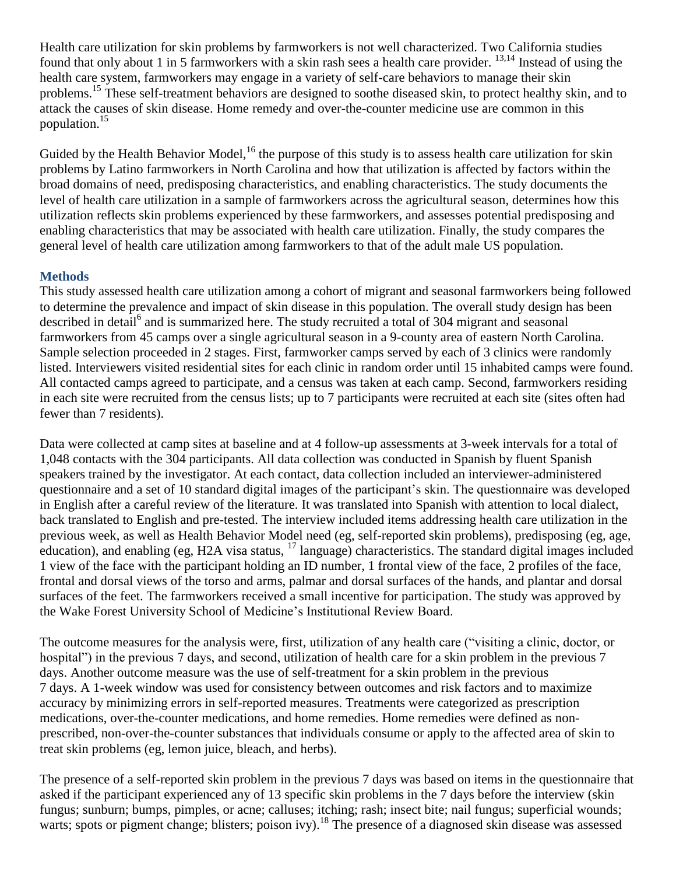Health care utilization for skin problems by farmworkers is not well characterized. Two California studies found that only about 1 in 5 farmworkers with a skin rash sees a health care provider. 13,14 Instead of using the health care system, farmworkers may engage in a variety of self-care behaviors to manage their skin problems.<sup>15</sup> These self-treatment behaviors are designed to soothe diseased skin, to protect healthy skin, and to attack the causes of skin disease. Home remedy and over-the-counter medicine use are common in this population.<sup>15</sup>

Guided by the Health Behavior Model,<sup>16</sup> the purpose of this study is to assess health care utilization for skin problems by Latino farmworkers in North Carolina and how that utilization is affected by factors within the broad domains of need, predisposing characteristics, and enabling characteristics. The study documents the level of health care utilization in a sample of farmworkers across the agricultural season, determines how this utilization reflects skin problems experienced by these farmworkers, and assesses potential predisposing and enabling characteristics that may be associated with health care utilization. Finally, the study compares the general level of health care utilization among farmworkers to that of the adult male US population.

# **Methods**

This study assessed health care utilization among a cohort of migrant and seasonal farmworkers being followed to determine the prevalence and impact of skin disease in this population. The overall study design has been described in detail<sup>6</sup> and is summarized here. The study recruited a total of 304 migrant and seasonal farmworkers from 45 camps over a single agricultural season in a 9-county area of eastern North Carolina. Sample selection proceeded in 2 stages. First, farmworker camps served by each of 3 clinics were randomly listed. Interviewers visited residential sites for each clinic in random order until 15 inhabited camps were found. All contacted camps agreed to participate, and a census was taken at each camp. Second, farmworkers residing in each site were recruited from the census lists; up to 7 participants were recruited at each site (sites often had fewer than 7 residents).

Data were collected at camp sites at baseline and at 4 follow-up assessments at 3-week intervals for a total of 1,048 contacts with the 304 participants. All data collection was conducted in Spanish by fluent Spanish speakers trained by the investigator. At each contact, data collection included an interviewer-administered questionnaire and a set of 10 standard digital images of the participant's skin. The questionnaire was developed in English after a careful review of the literature. It was translated into Spanish with attention to local dialect, back translated to English and pre-tested. The interview included items addressing health care utilization in the previous week, as well as Health Behavior Model need (eg, self-reported skin problems), predisposing (eg, age, education), and enabling (eg, H2A visa status,  $^{17}$  language) characteristics. The standard digital images included 1 view of the face with the participant holding an ID number, 1 frontal view of the face, 2 profiles of the face, frontal and dorsal views of the torso and arms, palmar and dorsal surfaces of the hands, and plantar and dorsal surfaces of the feet. The farmworkers received a small incentive for participation. The study was approved by the Wake Forest University School of Medicine's Institutional Review Board.

The outcome measures for the analysis were, first, utilization of any health care ("visiting a clinic, doctor, or hospital") in the previous 7 days, and second, utilization of health care for a skin problem in the previous 7 days. Another outcome measure was the use of self-treatment for a skin problem in the previous 7 days. A 1-week window was used for consistency between outcomes and risk factors and to maximize accuracy by minimizing errors in self-reported measures. Treatments were categorized as prescription medications, over-the-counter medications, and home remedies. Home remedies were defined as nonprescribed, non-over-the-counter substances that individuals consume or apply to the affected area of skin to treat skin problems (eg, lemon juice, bleach, and herbs).

The presence of a self-reported skin problem in the previous 7 days was based on items in the questionnaire that asked if the participant experienced any of 13 specific skin problems in the 7 days before the interview (skin fungus; sunburn; bumps, pimples, or acne; calluses; itching; rash; insect bite; nail fungus; superficial wounds; warts; spots or pigment change; blisters; poison ivy).<sup>18</sup> The presence of a diagnosed skin disease was assessed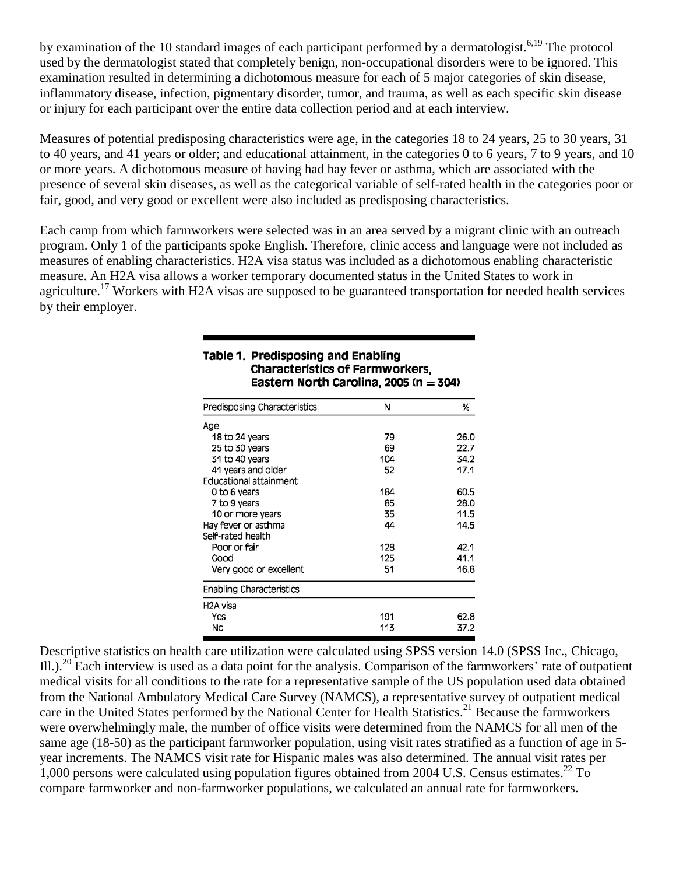by examination of the 10 standard images of each participant performed by a dermatologist.<sup>6,19</sup> The protocol used by the dermatologist stated that completely benign, non-occupational disorders were to be ignored. This examination resulted in determining a dichotomous measure for each of 5 major categories of skin disease, inflammatory disease, infection, pigmentary disorder, tumor, and trauma, as well as each specific skin disease or injury for each participant over the entire data collection period and at each interview.

Measures of potential predisposing characteristics were age, in the categories 18 to 24 years, 25 to 30 years, 31 to 40 years, and 41 years or older; and educational attainment, in the categories 0 to 6 years, 7 to 9 years, and 10 or more years. A dichotomous measure of having had hay fever or asthma, which are associated with the presence of several skin diseases, as well as the categorical variable of self-rated health in the categories poor or fair, good, and very good or excellent were also included as predisposing characteristics.

Each camp from which farmworkers were selected was in an area served by a migrant clinic with an outreach program. Only 1 of the participants spoke English. Therefore, clinic access and language were not included as measures of enabling characteristics. H2A visa status was included as a dichotomous enabling characteristic measure. An H2A visa allows a worker temporary documented status in the United States to work in agriculture.<sup>17</sup> Workers with H2A visas are supposed to be guaranteed transportation for needed health services by their employer.

| Predisposing Characteristics    | Ν   | %    |
|---------------------------------|-----|------|
| Age                             |     |      |
| 18 to 24 years                  | 79  | 26.0 |
| 25 to 30 years                  | 69  | 22.7 |
| 31 to 40 years                  | 104 | 34.2 |
| 41 years and older              | 52  | 17.1 |
| Educational attainment          |     |      |
| 0 to 6 years                    | 184 | 60.5 |
| 7 to 9 years                    | 85  | 28.0 |
| 10 or more years                | 35  | 11.5 |
| Hay fever or asthma             | 44  | 14.5 |
| Self-rated health               |     |      |
| Poor or fair                    | 128 | 42.1 |
| Good                            | 125 | 41.1 |
| Very good or excellent          | 51  | 16.8 |
| <b>Enabling Characteristics</b> |     |      |
| H <sub>2</sub> A visa           |     |      |
| Yes                             | 191 | 62.8 |
| No                              | 113 | 37.2 |

#### Table 1. Predisposing and Enabling **Characteristics of Farmworkers.** Eastern North Carolina, 2005 (n = 304)

Descriptive statistics on health care utilization were calculated using SPSS version 14.0 (SPSS Inc., Chicago, Ill.).<sup>20</sup> Each interview is used as a data point for the analysis. Comparison of the farmworkers' rate of outpatient medical visits for all conditions to the rate for a representative sample of the US population used data obtained from the National Ambulatory Medical Care Survey (NAMCS), a representative survey of outpatient medical care in the United States performed by the National Center for Health Statistics.<sup>21</sup> Because the farmworkers were overwhelmingly male, the number of office visits were determined from the NAMCS for all men of the same age (18-50) as the participant farmworker population, using visit rates stratified as a function of age in 5 year increments. The NAMCS visit rate for Hispanic males was also determined. The annual visit rates per 1,000 persons were calculated using population figures obtained from 2004 U.S. Census estimates.<sup>22</sup> To compare farmworker and non-farmworker populations, we calculated an annual rate for farmworkers.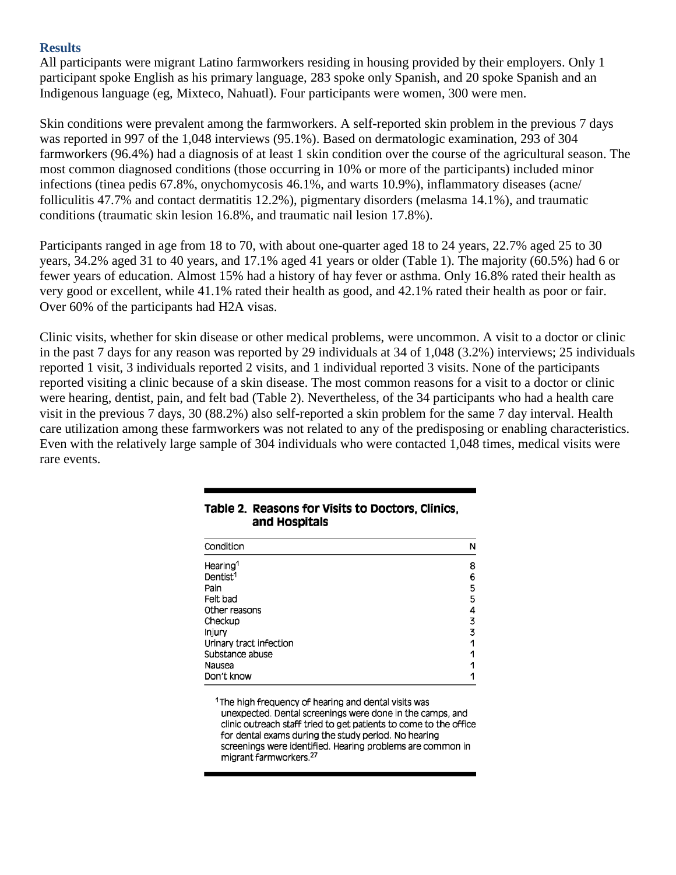#### **Results**

All participants were migrant Latino farmworkers residing in housing provided by their employers. Only 1 participant spoke English as his primary language, 283 spoke only Spanish, and 20 spoke Spanish and an Indigenous language (eg, Mixteco, Nahuatl). Four participants were women, 300 were men.

Skin conditions were prevalent among the farmworkers. A self-reported skin problem in the previous 7 days was reported in 997 of the 1,048 interviews (95.1%). Based on dermatologic examination, 293 of 304 farmworkers (96.4%) had a diagnosis of at least 1 skin condition over the course of the agricultural season. The most common diagnosed conditions (those occurring in 10% or more of the participants) included minor infections (tinea pedis 67.8%, onychomycosis 46.1%, and warts 10.9%), inflammatory diseases (acne/ folliculitis 47.7% and contact dermatitis 12.2%), pigmentary disorders (melasma 14.1%), and traumatic conditions (traumatic skin lesion 16.8%, and traumatic nail lesion 17.8%).

Participants ranged in age from 18 to 70, with about one-quarter aged 18 to 24 years, 22.7% aged 25 to 30 years, 34.2% aged 31 to 40 years, and 17.1% aged 41 years or older (Table 1). The majority (60.5%) had 6 or fewer years of education. Almost 15% had a history of hay fever or asthma. Only 16.8% rated their health as very good or excellent, while 41.1% rated their health as good, and 42.1% rated their health as poor or fair. Over 60% of the participants had H2A visas.

Clinic visits, whether for skin disease or other medical problems, were uncommon. A visit to a doctor or clinic in the past 7 days for any reason was reported by 29 individuals at 34 of 1,048 (3.2%) interviews; 25 individuals reported 1 visit, 3 individuals reported 2 visits, and 1 individual reported 3 visits. None of the participants reported visiting a clinic because of a skin disease. The most common reasons for a visit to a doctor or clinic were hearing, dentist, pain, and felt bad (Table 2). Nevertheless, of the 34 participants who had a health care visit in the previous 7 days, 30 (88.2%) also self-reported a skin problem for the same 7 day interval. Health care utilization among these farmworkers was not related to any of the predisposing or enabling characteristics. Even with the relatively large sample of 304 individuals who were contacted 1,048 times, medical visits were rare events.

| Condition               | N |
|-------------------------|---|
| Hearing <sup>1</sup>    | 8 |
| Dentist <sup>1</sup>    | 6 |
| Pain                    | 5 |
| Felt bad                | 5 |
| Other reasons           | 4 |
| Checkup                 | 3 |
| Injury                  | 3 |
| Urinary tract infection | 1 |
| Substance abuse         |   |
| Nausea                  |   |
| Don't know              |   |
|                         |   |

#### Table 2. Reasons for Visits to Doctors, Clinics, and Hospitals

<sup>1</sup>The high frequency of hearing and dental visits was unexpected. Dental screenings were done in the camps, and clinic outreach staff tried to get patients to come to the office for dental exams during the study period. No hearing screenings were identified. Hearing problems are common in migrant farmworkers.<sup>27</sup>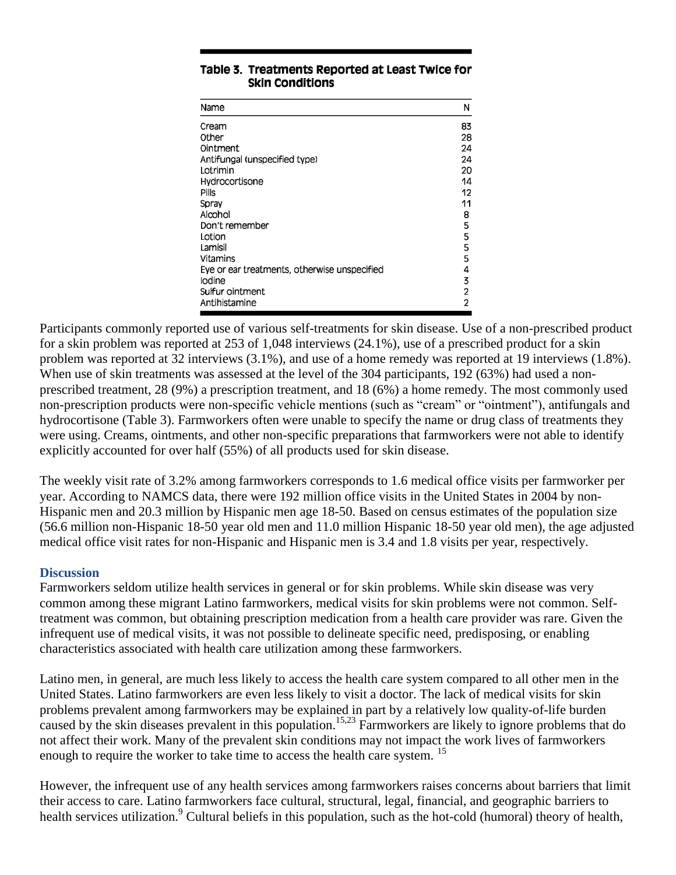| Name                                         | N              |
|----------------------------------------------|----------------|
| Cream                                        | 83             |
| Other                                        | 28             |
| Ointment                                     | 24             |
| Antifungal (unspecified type)                | 24             |
| Lotrimin                                     | 20             |
| Hydrocortisone                               | 14             |
| <b>Pills</b>                                 | 12             |
| Spray                                        | 11             |
| Alcohol                                      | 8              |
| Don't remember                               | 5              |
| Lotion                                       | 5              |
| Lamisil                                      | 5              |
| Vitamins                                     | 5              |
| Eye or ear treatments, otherwise unspecified | 4              |
| Iodine                                       | 3              |
| Sulfur ointment                              | 2              |
| Antihistamine                                | $\overline{2}$ |

### Table 3. Treatments Reported at Least Twice for **Skin Conditions**

Participants commonly reported use of various self-treatments for skin disease. Use of a non-prescribed product for a skin problem was reported at 253 of 1,048 interviews (24.1%), use of a prescribed product for a skin problem was reported at 32 interviews (3.1%), and use of a home remedy was reported at 19 interviews (1.8%). When use of skin treatments was assessed at the level of the 304 participants, 192 (63%) had used a nonprescribed treatment, 28 (9%) a prescription treatment, and 18 (6%) a home remedy. The most commonly used non-prescription products were non-specific vehicle mentions (such as "cream" or "ointment"), antifungals and hydrocortisone (Table 3). Farmworkers often were unable to specify the name or drug class of treatments they were using. Creams, ointments, and other non-specific preparations that farmworkers were not able to identify explicitly accounted for over half (55%) of all products used for skin disease.

The weekly visit rate of 3.2% among farmworkers corresponds to 1.6 medical office visits per farmworker per year. According to NAMCS data, there were 192 million office visits in the United States in 2004 by non-Hispanic men and 20.3 million by Hispanic men age 18-50. Based on census estimates of the population size (56.6 million non-Hispanic 18-50 year old men and 11.0 million Hispanic 18-50 year old men), the age adjusted medical office visit rates for non-Hispanic and Hispanic men is 3.4 and 1.8 visits per year, respectively.

# **Discussion**

Farmworkers seldom utilize health services in general or for skin problems. While skin disease was very common among these migrant Latino farmworkers, medical visits for skin problems were not common. Selftreatment was common, but obtaining prescription medication from a health care provider was rare. Given the infrequent use of medical visits, it was not possible to delineate specific need, predisposing, or enabling characteristics associated with health care utilization among these farmworkers.

Latino men, in general, are much less likely to access the health care system compared to all other men in the United States. Latino farmworkers are even less likely to visit a doctor. The lack of medical visits for skin problems prevalent among farmworkers may be explained in part by a relatively low quality-of-life burden caused by the skin diseases prevalent in this population.<sup>15,23</sup> Farmworkers are likely to ignore problems that do not affect their work. Many of the prevalent skin conditions may not impact the work lives of farmworkers enough to require the worker to take time to access the health care system.<sup>15</sup>

However, the infrequent use of any health services among farmworkers raises concerns about barriers that limit their access to care. Latino farmworkers face cultural, structural, legal, financial, and geographic barriers to health services utilization.<sup>9</sup> Cultural beliefs in this population, such as the hot-cold (humoral) theory of health,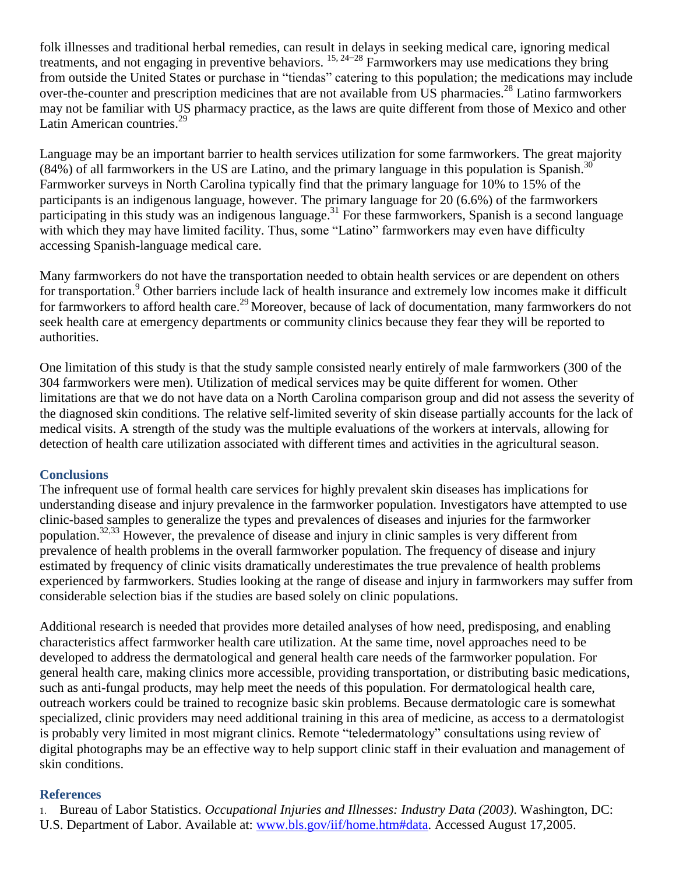folk illnesses and traditional herbal remedies, can result in delays in seeking medical care, ignoring medical treatments, and not engaging in preventive behaviors.  $15, 24-28$  Farmworkers may use medications they bring from outside the United States or purchase in "tiendas" catering to this population; the medications may include over-the-counter and prescription medicines that are not available from US pharmacies.<sup>28</sup> Latino farmworkers may not be familiar with US pharmacy practice, as the laws are quite different from those of Mexico and other Latin American countries.<sup>29</sup>

Language may be an important barrier to health services utilization for some farmworkers. The great majority  $(84%)$  of all farmworkers in the US are Latino, and the primary language in this population is Spanish.<sup>30</sup> Farmworker surveys in North Carolina typically find that the primary language for 10% to 15% of the participants is an indigenous language, however. The primary language for 20 (6.6%) of the farmworkers participating in this study was an indigenous language.<sup>31</sup> For these farmworkers, Spanish is a second language with which they may have limited facility. Thus, some "Latino" farmworkers may even have difficulty accessing Spanish-language medical care.

Many farmworkers do not have the transportation needed to obtain health services or are dependent on others for transportation.<sup>9</sup> Other barriers include lack of health insurance and extremely low incomes make it difficult for farmworkers to afford health care.<sup>29</sup> Moreover, because of lack of documentation, many farmworkers do not seek health care at emergency departments or community clinics because they fear they will be reported to authorities.

One limitation of this study is that the study sample consisted nearly entirely of male farmworkers (300 of the 304 farmworkers were men). Utilization of medical services may be quite different for women. Other limitations are that we do not have data on a North Carolina comparison group and did not assess the severity of the diagnosed skin conditions. The relative self-limited severity of skin disease partially accounts for the lack of medical visits. A strength of the study was the multiple evaluations of the workers at intervals, allowing for detection of health care utilization associated with different times and activities in the agricultural season.

# **Conclusions**

The infrequent use of formal health care services for highly prevalent skin diseases has implications for understanding disease and injury prevalence in the farmworker population. Investigators have attempted to use clinic-based samples to generalize the types and prevalences of diseases and injuries for the farmworker population.<sup>32,33</sup> However, the prevalence of disease and injury in clinic samples is very different from prevalence of health problems in the overall farmworker population. The frequency of disease and injury estimated by frequency of clinic visits dramatically underestimates the true prevalence of health problems experienced by farmworkers. Studies looking at the range of disease and injury in farmworkers may suffer from considerable selection bias if the studies are based solely on clinic populations.

Additional research is needed that provides more detailed analyses of how need, predisposing, and enabling characteristics affect farmworker health care utilization. At the same time, novel approaches need to be developed to address the dermatological and general health care needs of the farmworker population. For general health care, making clinics more accessible, providing transportation, or distributing basic medications, such as anti-fungal products, may help meet the needs of this population. For dermatological health care, outreach workers could be trained to recognize basic skin problems. Because dermatologic care is somewhat specialized, clinic providers may need additional training in this area of medicine, as access to a dermatologist is probably very limited in most migrant clinics. Remote "teledermatology" consultations using review of digital photographs may be an effective way to help support clinic staff in their evaluation and management of skin conditions.

#### **References**

1. Bureau of Labor Statistics. *Occupational Injuries and Illnesses: Industry Data (2003)*. Washington, DC: U.S. Department of Labor. Available at: [www.bls.gov/iif/home.htm#data.](http://www.bls.gov/iif/home.htm#data) Accessed August 17,2005.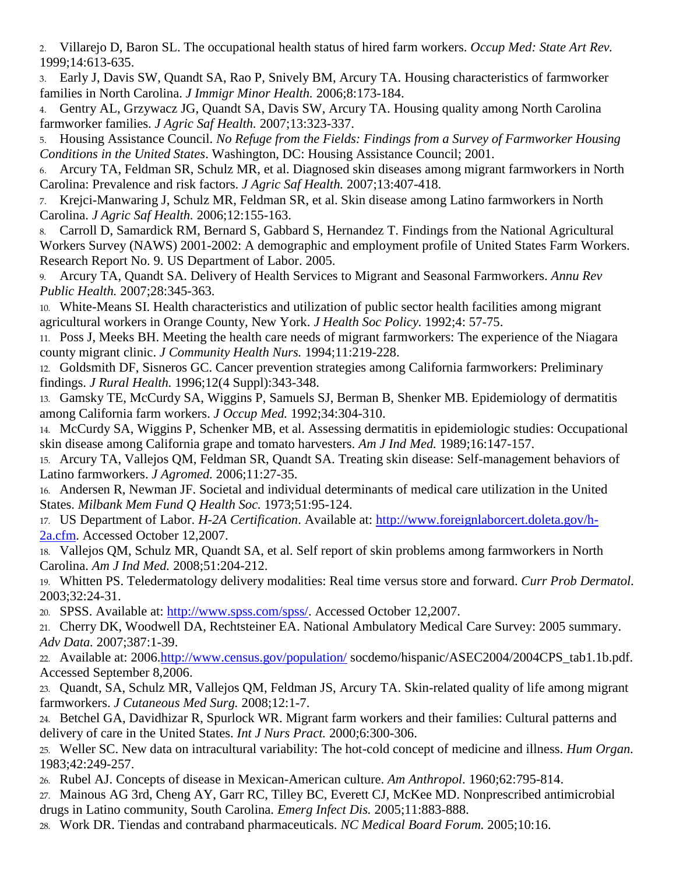2. Villarejo D, Baron SL. The occupational health status of hired farm workers. *Occup Med: State Art Rev.* 1999;14:613-635.

3. Early J, Davis SW, Quandt SA, Rao P, Snively BM, Arcury TA. Housing characteristics of farmworker families in North Carolina. *J Immigr Minor Health.* 2006;8:173-184.

4. Gentry AL, Grzywacz JG, Quandt SA, Davis SW, Arcury TA. Housing quality among North Carolina farmworker families. *J Agric Saf Health.* 2007;13:323-337.

5. Housing Assistance Council. *No Refuge from the Fields: Findings from a Survey of Farmworker Housing Conditions in the United States*. Washington, DC: Housing Assistance Council; 2001.

6. Arcury TA, Feldman SR, Schulz MR, et al. Diagnosed skin diseases among migrant farmworkers in North Carolina: Prevalence and risk factors. *J Agric Saf Health.* 2007;13:407-418.

7. Krejci-Manwaring J, Schulz MR, Feldman SR, et al. Skin disease among Latino farmworkers in North Carolina. *J Agric Saf Health.* 2006;12:155-163.

8. Carroll D, Samardick RM, Bernard S, Gabbard S, Hernandez T. Findings from the National Agricultural Workers Survey (NAWS) 2001-2002: A demographic and employment profile of United States Farm Workers. Research Report No. 9. US Department of Labor. 2005.

9. Arcury TA, Quandt SA. Delivery of Health Services to Migrant and Seasonal Farmworkers. *Annu Rev Public Health.* 2007;28:345-363.

10. White-Means SI. Health characteristics and utilization of public sector health facilities among migrant agricultural workers in Orange County, New York. *J Health Soc Policy.* 1992;4: 57-75.

11. Poss J, Meeks BH. Meeting the health care needs of migrant farmworkers: The experience of the Niagara county migrant clinic. *J Community Health Nurs.* 1994;11:219-228.

12. Goldsmith DF, Sisneros GC. Cancer prevention strategies among California farmworkers: Preliminary findings. *J Rural Health.* 1996;12(4 Suppl):343-348.

13. Gamsky TE, McCurdy SA, Wiggins P, Samuels SJ, Berman B, Shenker MB. Epidemiology of dermatitis among California farm workers. *J Occup Med.* 1992;34:304-310.

14. McCurdy SA, Wiggins P, Schenker MB, et al. Assessing dermatitis in epidemiologic studies: Occupational skin disease among California grape and tomato harvesters. *Am J Ind Med.* 1989;16:147-157.

15. Arcury TA, Vallejos QM, Feldman SR, Quandt SA. Treating skin disease: Self-management behaviors of Latino farmworkers. *J Agromed.* 2006;11:27-35.

16. Andersen R, Newman JF. Societal and individual determinants of medical care utilization in the United States. *Milbank Mem Fund Q Health Soc.* 1973;51:95-124.

17. US Department of Labor. *H-2A Certification*. Available at: [http://www.foreignlaborcert.doleta.gov/h-](http://www.foreignlaborcert.doleta.gov/h-2a.cfm)[2a.cfm.](http://www.foreignlaborcert.doleta.gov/h-2a.cfm) Accessed October 12,2007.

18. Vallejos QM, Schulz MR, Quandt SA, et al. Self report of skin problems among farmworkers in North Carolina. *Am J Ind Med.* 2008;51:204-212.

19. Whitten PS. Teledermatology delivery modalities: Real time versus store and forward. *Curr Prob Dermatol.* 2003;32:24-31.

20. SPSS. Available at: [http://www.spss.com/spss/.](http://www.spss.com/spss/) Accessed October 12,2007.

21. Cherry DK, Woodwell DA, Rechtsteiner EA. National Ambulatory Medical Care Survey: 2005 summary. *Adv Data.* 2007;387:1-39.

22. Available at: 2006[.http://www.census.gov/population/](http://www.census.gov/population/) socdemo/hispanic/ASEC2004/2004CPS\_tab1.1b.pdf. Accessed September 8,2006.

- 23. Quandt, SA, Schulz MR, Vallejos QM, Feldman JS, Arcury TA. Skin-related quality of life among migrant farmworkers. *J Cutaneous Med Surg.* 2008;12:1-7.
- 24. Betchel GA, Davidhizar R, Spurlock WR. Migrant farm workers and their families: Cultural patterns and delivery of care in the United States. *Int J Nurs Pract.* 2000;6:300-306.

25. Weller SC. New data on intracultural variability: The hot-cold concept of medicine and illness. *Hum Organ.* 1983;42:249-257.

26. Rubel AJ. Concepts of disease in Mexican-American culture. *Am Anthropol.* 1960;62:795-814.

27. Mainous AG 3rd, Cheng AY, Garr RC, Tilley BC, Everett CJ, McKee MD. Nonprescribed antimicrobial drugs in Latino community, South Carolina. *Emerg Infect Dis.* 2005;11:883-888.

28. Work DR. Tiendas and contraband pharmaceuticals. *NC Medical Board Forum.* 2005;10:16.